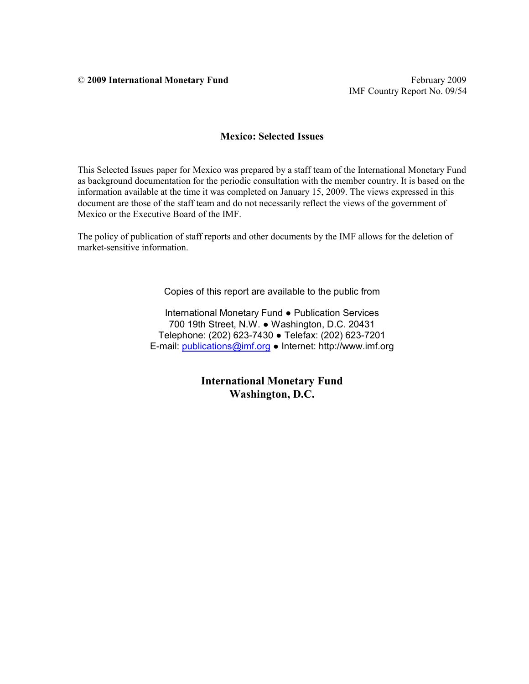© **2009 International Monetary Fund** February 2009

IMF Country Report No. 09/54

#### **Mexico: Selected Issues**

This Selected Issues paper for Mexico was prepared by a staff team of the International Monetary Fund as background documentation for the periodic consultation with the member country. It is based on the information available at the time it was completed on January 15, 2009. The views expressed in this document are those of the staff team and do not necessarily reflect the views of the government of Mexico or the Executive Board of the IMF.

The policy of publication of staff reports and other documents by the IMF allows for the deletion of market-sensitive information.

Copies of this report are available to the public from

International Monetary Fund ● Publication Services 700 19th Street, N.W. ● Washington, D.C. 20431 Telephone: (202) 623-7430 ● Telefax: (202) 623-7201 E-mail: publications@imf.org ● Internet: http://www.imf.org

> **International Monetary Fund Washington, D.C.**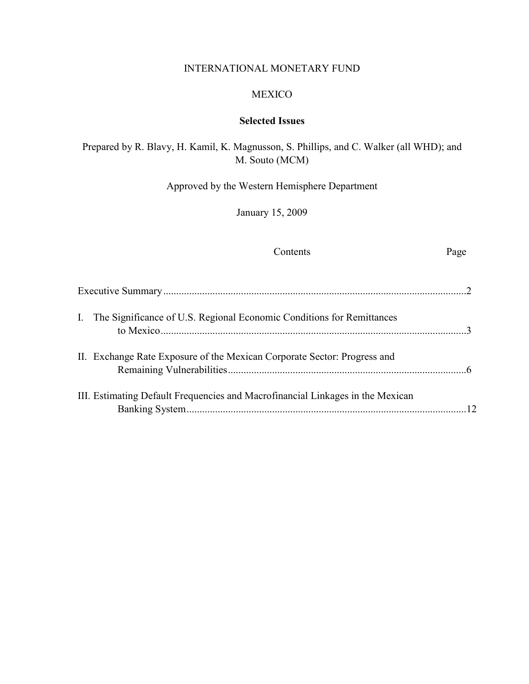### INTERNATIONAL MONETARY FUND

#### MEXICO

# **Selected Issues**

# Prepared by R. Blavy, H. Kamil, K. Magnusson, S. Phillips, and C. Walker (all WHD); and M. Souto (MCM)

Approved by the Western Hemisphere Department

January 15, 2009

#### Contents Page

| I. The Significance of U.S. Regional Economic Conditions for Remittances       |  |
|--------------------------------------------------------------------------------|--|
| II. Exchange Rate Exposure of the Mexican Corporate Sector: Progress and       |  |
| III. Estimating Default Frequencies and Macrofinancial Linkages in the Mexican |  |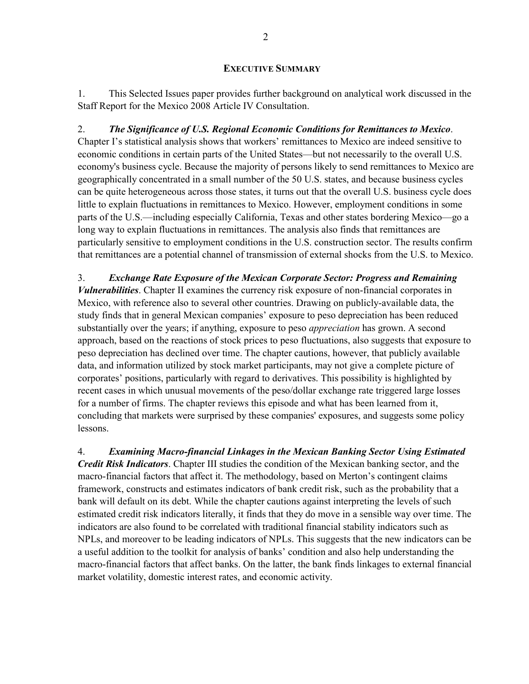#### **EXECUTIVE SUMMARY**

1. This Selected Issues paper provides further background on analytical work discussed in the Staff Report for the Mexico 2008 Article IV Consultation.

2. *The Significance of U.S. Regional Economic Conditions for Remittances to Mexico*. Chapter I's statistical analysis shows that workers' remittances to Mexico are indeed sensitive to economic conditions in certain parts of the United States—but not necessarily to the overall U.S. economy's business cycle. Because the majority of persons likely to send remittances to Mexico are geographically concentrated in a small number of the 50 U.S. states, and because business cycles can be quite heterogeneous across those states, it turns out that the overall U.S. business cycle does little to explain fluctuations in remittances to Mexico. However, employment conditions in some parts of the U.S.—including especially California, Texas and other states bordering Mexico—go a long way to explain fluctuations in remittances. The analysis also finds that remittances are particularly sensitive to employment conditions in the U.S. construction sector. The results confirm that remittances are a potential channel of transmission of external shocks from the U.S. to Mexico.

3. *Exchange Rate Exposure of the Mexican Corporate Sector: Progress and Remaining Vulnerabilities*. Chapter II examines the currency risk exposure of non-financial corporates in Mexico, with reference also to several other countries. Drawing on publicly-available data, the study finds that in general Mexican companies' exposure to peso depreciation has been reduced substantially over the years; if anything, exposure to peso *appreciation* has grown. A second approach, based on the reactions of stock prices to peso fluctuations, also suggests that exposure to peso depreciation has declined over time. The chapter cautions, however, that publicly available data, and information utilized by stock market participants, may not give a complete picture of corporates' positions, particularly with regard to derivatives. This possibility is highlighted by recent cases in which unusual movements of the peso/dollar exchange rate triggered large losses for a number of firms. The chapter reviews this episode and what has been learned from it, concluding that markets were surprised by these companies' exposures, and suggests some policy lessons.

4. *Examining Macro-financial Linkages in the Mexican Banking Sector Using Estimated Credit Risk Indicators*. Chapter III studies the condition of the Mexican banking sector, and the macro-financial factors that affect it. The methodology, based on Merton's contingent claims framework, constructs and estimates indicators of bank credit risk, such as the probability that a bank will default on its debt. While the chapter cautions against interpreting the levels of such estimated credit risk indicators literally, it finds that they do move in a sensible way over time. The indicators are also found to be correlated with traditional financial stability indicators such as NPLs, and moreover to be leading indicators of NPLs. This suggests that the new indicators can be a useful addition to the toolkit for analysis of banks' condition and also help understanding the macro-financial factors that affect banks. On the latter, the bank finds linkages to external financial market volatility, domestic interest rates, and economic activity.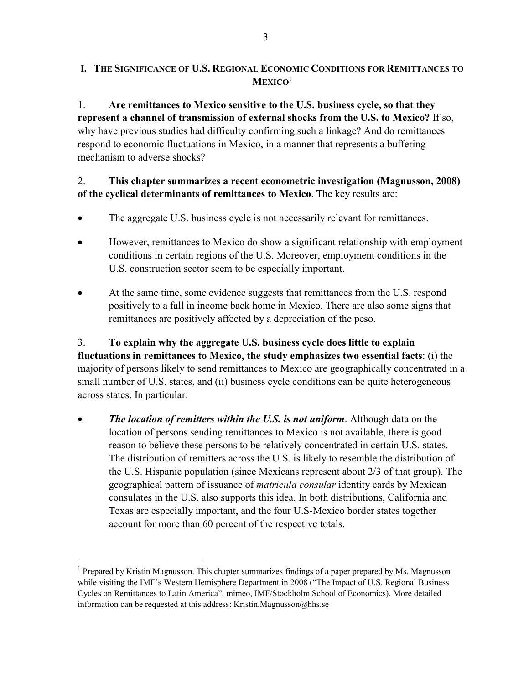### **I. THE SIGNIFICANCE OF U.S. REGIONAL ECONOMIC CONDITIONS FOR REMITTANCES TO MEXICO**<sup>1</sup>

1. **Are remittances to Mexico sensitive to the U.S. business cycle, so that they represent a channel of transmission of external shocks from the U.S. to Mexico?** If so, why have previous studies had difficulty confirming such a linkage? And do remittances respond to economic fluctuations in Mexico, in a manner that represents a buffering mechanism to adverse shocks?

## 2. **This chapter summarizes a recent econometric investigation (Magnusson, 2008) of the cyclical determinants of remittances to Mexico**. The key results are:

- The aggregate U.S. business cycle is not necessarily relevant for remittances.
- However, remittances to Mexico do show a significant relationship with employment conditions in certain regions of the U.S. Moreover, employment conditions in the U.S. construction sector seem to be especially important.
- At the same time, some evidence suggests that remittances from the U.S. respond positively to a fall in income back home in Mexico. There are also some signs that remittances are positively affected by a depreciation of the peso.

3. **To explain why the aggregate U.S. business cycle does little to explain fluctuations in remittances to Mexico, the study emphasizes two essential facts**: (i) the majority of persons likely to send remittances to Mexico are geographically concentrated in a small number of U.S. states, and (ii) business cycle conditions can be quite heterogeneous across states. In particular:

• *The location of remitters within the U.S. is not uniform*. Although data on the location of persons sending remittances to Mexico is not available, there is good reason to believe these persons to be relatively concentrated in certain U.S. states. The distribution of remitters across the U.S. is likely to resemble the distribution of the U.S. Hispanic population (since Mexicans represent about 2/3 of that group). The geographical pattern of issuance of *matricula consular* identity cards by Mexican consulates in the U.S. also supports this idea. In both distributions, California and Texas are especially important, and the four U.S-Mexico border states together account for more than 60 percent of the respective totals.

<sup>&</sup>lt;sup>1</sup> Prepared by Kristin Magnusson. This chapter summarizes findings of a paper prepared by Ms. Magnusson while visiting the IMF's Western Hemisphere Department in 2008 ("The Impact of U.S. Regional Business") Cycles on Remittances to Latin America", mimeo, IMF/Stockholm School of Economics). More detailed information can be requested at this address: Kristin.Magnusson@hhs.se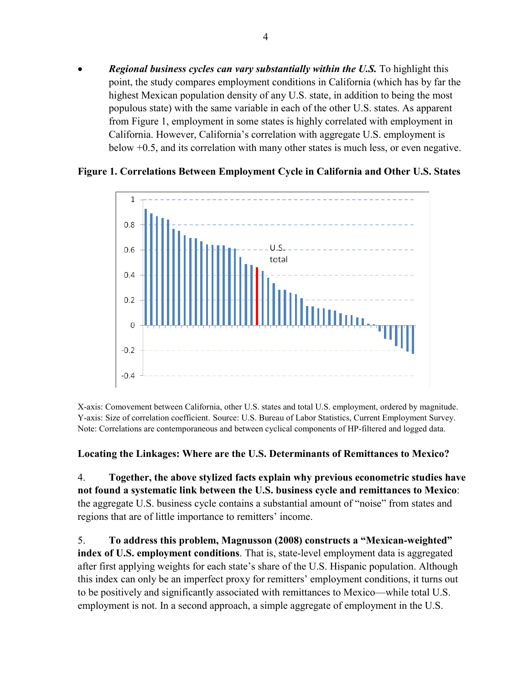• *Regional business cycles can vary substantially within the U.S.* To highlight this point, the study compares employment conditions in California (which has by far the highest Mexican population density of any U.S. state, in addition to being the most populous state) with the same variable in each of the other U.S. states. As apparent from Figure 1, employment in some states is highly correlated with employment in California. However, California's correlation with aggregate U.S. employment is below +0.5, and its correlation with many other states is much less, or even negative.



#### **Figure 1. Correlations Between Employment Cycle in California and Other U.S. States**

X-axis: Comovement between California, other U.S. states and total U.S. employment, ordered by magnitude. Y-axis: Size of correlation coefficient. Source: U.S. Bureau of Labor Statistics, Current Employment Survey. Note: Correlations are contemporaneous and between cyclical components of HP-filtered and logged data.

#### **Locating the Linkages: Where are the U.S. Determinants of Remittances to Mexico?**

4. **Together, the above stylized facts explain why previous econometric studies have not found a systematic link between the U.S. business cycle and remittances to Mexico**: the aggregate U.S. business cycle contains a substantial amount of "noise" from states and regions that are of little importance to remitters' income.

5. **To address this problem, Magnusson (2008) constructs a "Mexican-weighted" index of U.S. employment conditions**. That is, state-level employment data is aggregated after first applying weights for each state's share of the U.S. Hispanic population. Although this index can only be an imperfect proxy for remitters' employment conditions, it turns out to be positively and significantly associated with remittances to Mexico—while total U.S. employment is not. In a second approach, a simple aggregate of employment in the U.S.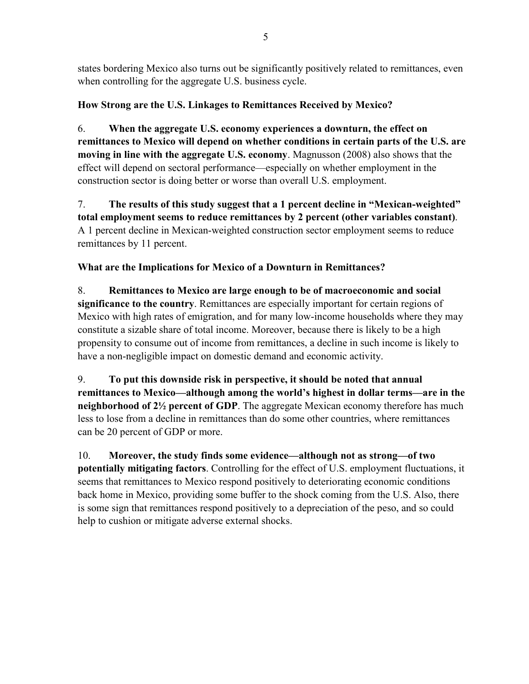states bordering Mexico also turns out be significantly positively related to remittances, even when controlling for the aggregate U.S. business cycle.

# **How Strong are the U.S. Linkages to Remittances Received by Mexico?**

6. **When the aggregate U.S. economy experiences a downturn, the effect on remittances to Mexico will depend on whether conditions in certain parts of the U.S. are moving in line with the aggregate U.S. economy**. Magnusson (2008) also shows that the effect will depend on sectoral performance—especially on whether employment in the construction sector is doing better or worse than overall U.S. employment.

7. **The results of this study suggest that a 1 percent decline in "Mexican-weighted" total employment seems to reduce remittances by 2 percent (other variables constant)**. A 1 percent decline in Mexican-weighted construction sector employment seems to reduce remittances by 11 percent.

# **What are the Implications for Mexico of a Downturn in Remittances?**

8. **Remittances to Mexico are large enough to be of macroeconomic and social significance to the country**. Remittances are especially important for certain regions of Mexico with high rates of emigration, and for many low-income households where they may constitute a sizable share of total income. Moreover, because there is likely to be a high propensity to consume out of income from remittances, a decline in such income is likely to have a non-negligible impact on domestic demand and economic activity.

9. **To put this downside risk in perspective, it should be noted that annual remittances to Mexico––although among the world's highest in dollar terms––are in the neighborhood of 2½ percent of GDP**. The aggregate Mexican economy therefore has much less to lose from a decline in remittances than do some other countries, where remittances can be 20 percent of GDP or more.

10. **Moreover, the study finds some evidence—although not as strong—of two potentially mitigating factors**. Controlling for the effect of U.S. employment fluctuations, it seems that remittances to Mexico respond positively to deteriorating economic conditions back home in Mexico, providing some buffer to the shock coming from the U.S. Also, there is some sign that remittances respond positively to a depreciation of the peso, and so could help to cushion or mitigate adverse external shocks.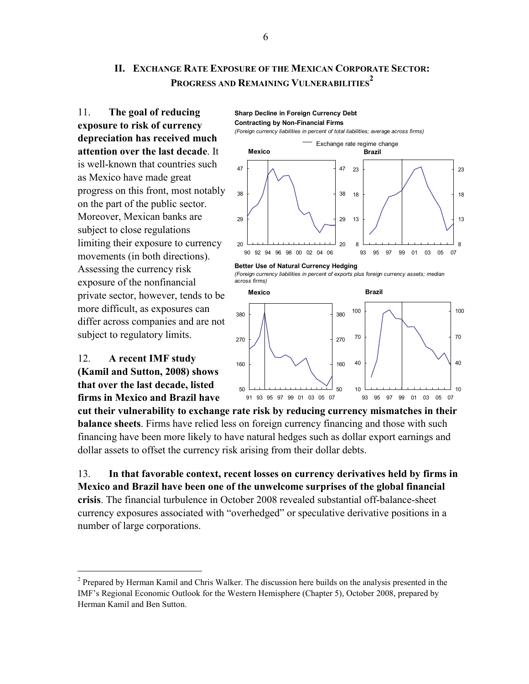## **II. EXCHANGE RATE EXPOSURE OF THE MEXICAN CORPORATE SECTOR: PROGRESS AND REMAINING VULNERABILITIES 2**

**Sharp Decline in Foreign Currency Debt**

11. **The goal of reducing exposure to risk of currency depreciation has received much attention over the last decade**. It is well-known that countries such as Mexico have made great progress on this front, most notably on the part of the public sector. Moreover, Mexican banks are subject to close regulations limiting their exposure to currency movements (in both directions). Assessing the currency risk exposure of the nonfinancial private sector, however, tends to be more difficult, as exposures can differ across companies and are not subject to regulatory limits.

12. **A recent IMF study (Kamil and Sutton, 2008) shows that over the last decade, listed firms in Mexico and Brazil have** 

1





8

13

18

23







**cut their vulnerability to exchange rate risk by reducing currency mismatches in their balance sheets**. Firms have relied less on foreign currency financing and those with such financing have been more likely to have natural hedges such as dollar export earnings and dollar assets to offset the currency risk arising from their dollar debts.

13. **In that favorable context, recent losses on currency derivatives held by firms in Mexico and Brazil have been one of the unwelcome surprises of the global financial crisis**. The financial turbulence in October 2008 revealed substantial off-balance-sheet currency exposures associated with "overhedged" or speculative derivative positions in a number of large corporations.

 $2$  Prepared by Herman Kamil and Chris Walker. The discussion here builds on the analysis presented in the IMF's Regional Economic Outlook for the Western Hemisphere (Chapter 5), October 2008, prepared by Herman Kamil and Ben Sutton.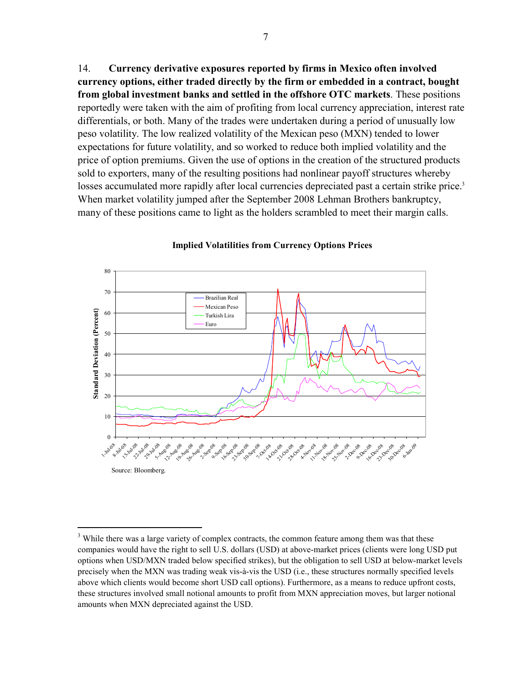14. **Currency derivative exposures reported by firms in Mexico often involved currency options, either traded directly by the firm or embedded in a contract, bought from global investment banks and settled in the offshore OTC markets**. These positions reportedly were taken with the aim of profiting from local currency appreciation, interest rate differentials, or both. Many of the trades were undertaken during a period of unusually low peso volatility. The low realized volatility of the Mexican peso (MXN) tended to lower expectations for future volatility, and so worked to reduce both implied volatility and the price of option premiums. Given the use of options in the creation of the structured products sold to exporters, many of the resulting positions had nonlinear payoff structures whereby losses accumulated more rapidly after local currencies depreciated past a certain strike price.<sup>3</sup> When market volatility jumped after the September 2008 Lehman Brothers bankruptcy, many of these positions came to light as the holders scrambled to meet their margin calls.



**Implied Volatilities from Currency Options Prices**

1

 $3$  While there was a large variety of complex contracts, the common feature among them was that these companies would have the right to sell U.S. dollars (USD) at above-market prices (clients were long USD put options when USD/MXN traded below specified strikes), but the obligation to sell USD at below-market levels precisely when the MXN was trading weak vis-à-vis the USD (i.e., these structures normally specified levels above which clients would become short USD call options). Furthermore, as a means to reduce upfront costs, these structures involved small notional amounts to profit from MXN appreciation moves, but larger notional amounts when MXN depreciated against the USD.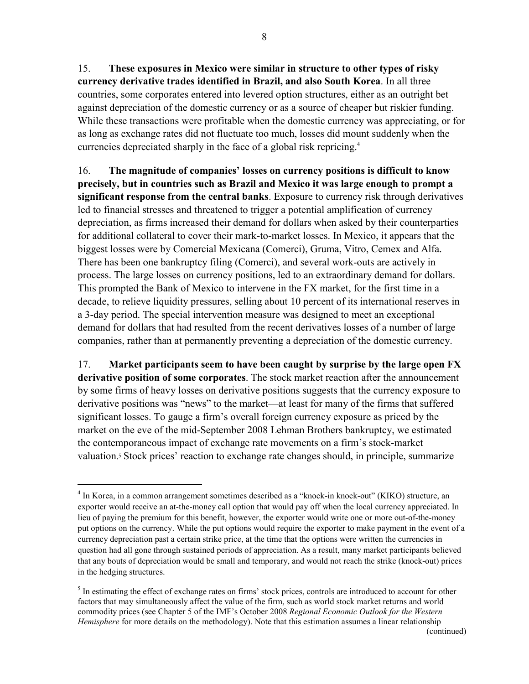15. **These exposures in Mexico were similar in structure to other types of risky currency derivative trades identified in Brazil, and also South Korea**. In all three countries, some corporates entered into levered option structures, either as an outright bet against depreciation of the domestic currency or as a source of cheaper but riskier funding. While these transactions were profitable when the domestic currency was appreciating, or for as long as exchange rates did not fluctuate too much, losses did mount suddenly when the currencies depreciated sharply in the face of a global risk repricing.4

16. **The magnitude of companies' losses on currency positions is difficult to know precisely, but in countries such as Brazil and Mexico it was large enough to prompt a significant response from the central banks**. Exposure to currency risk through derivatives led to financial stresses and threatened to trigger a potential amplification of currency depreciation, as firms increased their demand for dollars when asked by their counterparties for additional collateral to cover their mark-to-market losses. In Mexico, it appears that the biggest losses were by Comercial Mexicana (Comerci), Gruma, Vitro, Cemex and Alfa. There has been one bankruptcy filing (Comerci), and several work-outs are actively in process. The large losses on currency positions, led to an extraordinary demand for dollars. This prompted the Bank of Mexico to intervene in the FX market, for the first time in a decade, to relieve liquidity pressures, selling about 10 percent of its international reserves in a 3-day period. The special intervention measure was designed to meet an exceptional demand for dollars that had resulted from the recent derivatives losses of a number of large companies, rather than at permanently preventing a depreciation of the domestic currency.

17. **Market participants seem to have been caught by surprise by the large open FX derivative position of some corporates**. The stock market reaction after the announcement by some firms of heavy losses on derivative positions suggests that the currency exposure to derivative positions was "news" to the market—at least for many of the firms that suffered significant losses. To gauge a firm's overall foreign currency exposure as priced by the market on the eve of the mid-September 2008 Lehman Brothers bankruptcy, we estimated the contemporaneous impact of exchange rate movements on a firm's stock-market valuation. <sup>5</sup> Stock prices' reaction to exchange rate changes should, in principle, summarize

1

<sup>&</sup>lt;sup>4</sup> In Korea, in a common arrangement sometimes described as a "knock-in knock-out" (KIKO) structure, an exporter would receive an at-the-money call option that would pay off when the local currency appreciated. In lieu of paying the premium for this benefit, however, the exporter would write one or more out-of-the-money put options on the currency. While the put options would require the exporter to make payment in the event of a currency depreciation past a certain strike price, at the time that the options were written the currencies in question had all gone through sustained periods of appreciation. As a result, many market participants believed that any bouts of depreciation would be small and temporary, and would not reach the strike (knock-out) prices in the hedging structures.

 $<sup>5</sup>$  In estimating the effect of exchange rates on firms' stock prices, controls are introduced to account for other</sup> factors that may simultaneously affect the value of the firm, such as world stock market returns and world commodity prices (see Chapter 5 of the IMF's October 2008 *Regional Economic Outlook for the Western Hemisphere* for more details on the methodology). Note that this estimation assumes a linear relationship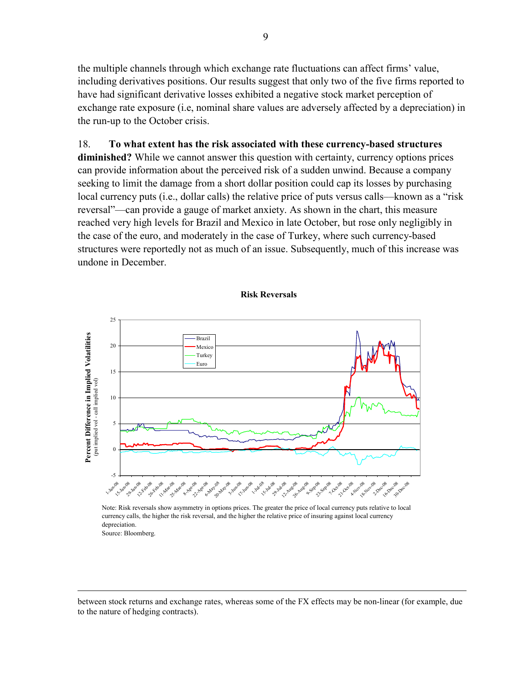the multiple channels through which exchange rate fluctuations can affect firms' value, including derivatives positions. Our results suggest that only two of the five firms reported to have had significant derivative losses exhibited a negative stock market perception of exchange rate exposure (i.e, nominal share values are adversely affected by a depreciation) in the run-up to the October crisis.

# 18. **To what extent has the risk associated with these currency-based structures diminished?** While we cannot answer this question with certainty, currency options prices can provide information about the perceived risk of a sudden unwind. Because a company seeking to limit the damage from a short dollar position could cap its losses by purchasing local currency puts (i.e., dollar calls) the relative price of puts versus calls—known as a "risk" reversal"––can provide a gauge of market anxiety. As shown in the chart, this measure reached very high levels for Brazil and Mexico in late October, but rose only negligibly in the case of the euro, and moderately in the case of Turkey, where such currency-based structures were reportedly not as much of an issue. Subsequently, much of this increase was undone in December.

#### **Risk Reversals**



Note: Risk reversals show asymmetry in options prices. The greater the price of local currency puts relative to local currency calls, the higher the risk reversal, and the higher the relative price of insuring against local currency depreciation.

Source: Bloomberg.

1

between stock returns and exchange rates, whereas some of the FX effects may be non-linear (for example, due to the nature of hedging contracts).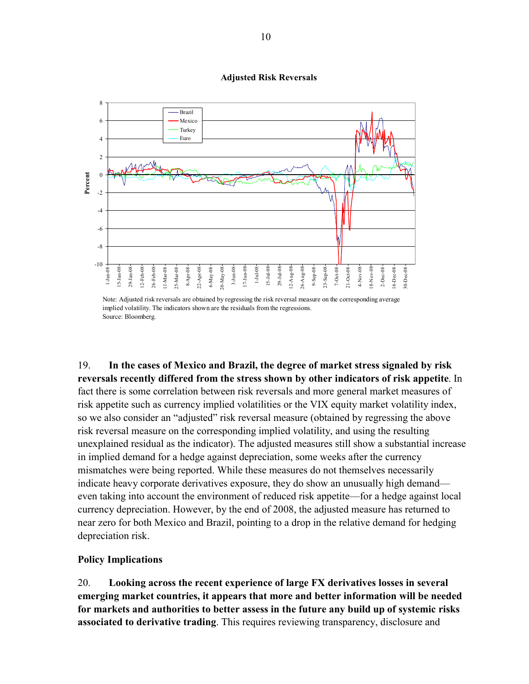#### **Adjusted Risk Reversals**



Note: Adjusted risk reversals are obtained by regressing the risk reversal measure on the corresponding average implied volatility. The indicators shown are the residuals from the regressions. Source: Bloomberg.

19. **In the cases of Mexico and Brazil, the degree of market stress signaled by risk reversals recently differed from the stress shown by other indicators of risk appetite**. In fact there is some correlation between risk reversals and more general market measures of risk appetite such as currency implied volatilities or the VIX equity market volatility index, so we also consider an "adjusted" risk reversal measure (obtained by regressing the above risk reversal measure on the corresponding implied volatility, and using the resulting unexplained residual as the indicator). The adjusted measures still show a substantial increase in implied demand for a hedge against depreciation, some weeks after the currency mismatches were being reported. While these measures do not themselves necessarily indicate heavy corporate derivatives exposure, they do show an unusually high demand–– even taking into account the environment of reduced risk appetite––for a hedge against local currency depreciation. However, by the end of 2008, the adjusted measure has returned to near zero for both Mexico and Brazil, pointing to a drop in the relative demand for hedging depreciation risk.

#### **Policy Implications**

20. **Looking across the recent experience of large FX derivatives losses in several emerging market countries, it appears that more and better information will be needed for markets and authorities to better assess in the future any build up of systemic risks associated to derivative trading**. This requires reviewing transparency, disclosure and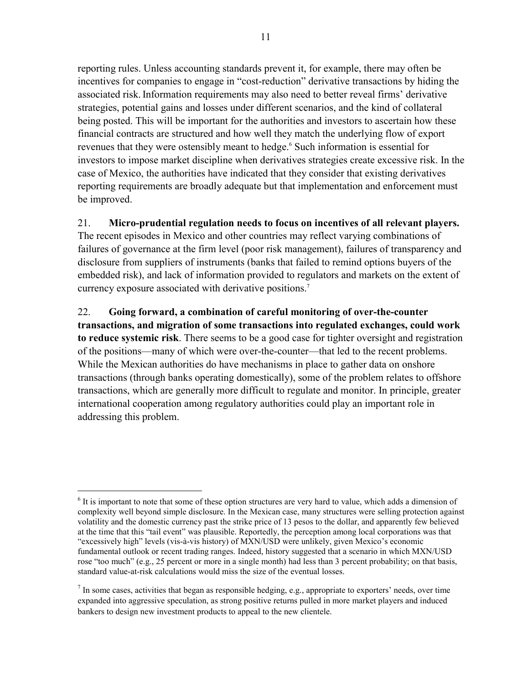reporting rules. Unless accounting standards prevent it, for example, there may often be incentives for companies to engage in "cost-reduction" derivative transactions by hiding the associated risk.Information requirements may also need to better reveal firms' derivative strategies, potential gains and losses under different scenarios, and the kind of collateral being posted. This will be important for the authorities and investors to ascertain how these financial contracts are structured and how well they match the underlying flow of export revenues that they were ostensibly meant to hedge.<sup>6</sup> Such information is essential for investors to impose market discipline when derivatives strategies create excessive risk. In the case of Mexico, the authorities have indicated that they consider that existing derivatives reporting requirements are broadly adequate but that implementation and enforcement must be improved.

#### 21. **Micro-prudential regulation needs to focus on incentives of all relevant players.**

The recent episodes in Mexico and other countries may reflect varying combinations of failures of governance at the firm level (poor risk management), failures of transparency and disclosure from suppliers of instruments (banks that failed to remind options buyers of the embedded risk), and lack of information provided to regulators and markets on the extent of currency exposure associated with derivative positions.<sup>7</sup>

22. **Going forward, a combination of careful monitoring of over-the-counter transactions, and migration of some transactions into regulated exchanges, could work to reduce systemic risk**. There seems to be a good case for tighter oversight and registration of the positions––many of which were over-the-counter––that led to the recent problems. While the Mexican authorities do have mechanisms in place to gather data on onshore transactions (through banks operating domestically), some of the problem relates to offshore transactions, which are generally more difficult to regulate and monitor. In principle, greater international cooperation among regulatory authorities could play an important role in addressing this problem.

<sup>&</sup>lt;sup>6</sup> It is important to note that some of these option structures are very hard to value, which adds a dimension of complexity well beyond simple disclosure. In the Mexican case, many structures were selling protection against volatility and the domestic currency past the strike price of 13 pesos to the dollar, and apparently few believed at the time that this "tail event" was plausible. Reportedly, the perception among local corporations was that "excessively high" levels (vis-à-vis history) of MXN/USD were unlikely, given Mexico's economic fundamental outlook or recent trading ranges. Indeed, history suggested that a scenario in which MXN/USD rose "too much" (e.g., 25 percent or more in a single month) had less than 3 percent probability; on that basis, standard value-at-risk calculations would miss the size of the eventual losses.

 $<sup>7</sup>$  In some cases, activities that began as responsible hedging, e.g., appropriate to exporters' needs, over time</sup> expanded into aggressive speculation, as strong positive returns pulled in more market players and induced bankers to design new investment products to appeal to the new clientele.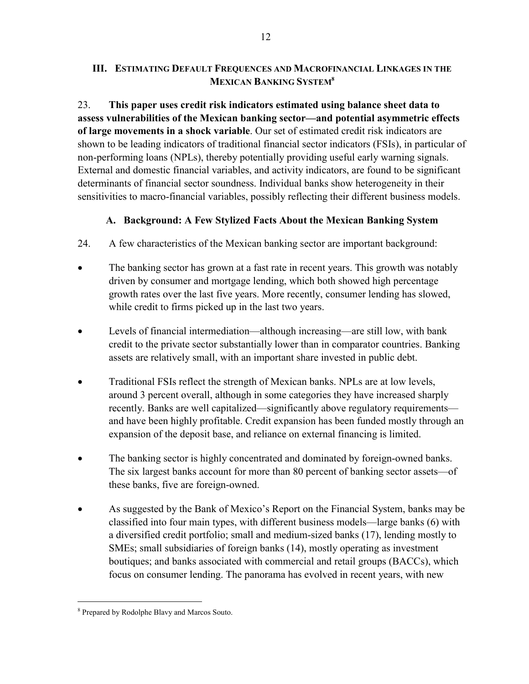#### **III. ESTIMATING DEFAULT FREQUENCES AND MACROFINANCIAL LINKAGES IN THE MEXICAN BANKING SYSTEM8**

23. **This paper uses credit risk indicators estimated using balance sheet data to assess vulnerabilities of the Mexican banking sector—and potential asymmetric effects of large movements in a shock variable**. Our set of estimated credit risk indicators are shown to be leading indicators of traditional financial sector indicators (FSIs), in particular of non-performing loans (NPLs), thereby potentially providing useful early warning signals. External and domestic financial variables, and activity indicators, are found to be significant determinants of financial sector soundness. Individual banks show heterogeneity in their sensitivities to macro-financial variables, possibly reflecting their different business models.

# **A. Background: A Few Stylized Facts About the Mexican Banking System**

- 24. A few characteristics of the Mexican banking sector are important background:
- The banking sector has grown at a fast rate in recent years. This growth was notably driven by consumer and mortgage lending, which both showed high percentage growth rates over the last five years. More recently, consumer lending has slowed, while credit to firms picked up in the last two years.
- Levels of financial intermediation—although increasing—are still low, with bank credit to the private sector substantially lower than in comparator countries. Banking assets are relatively small, with an important share invested in public debt.
- Traditional FSIs reflect the strength of Mexican banks. NPLs are at low levels, around 3 percent overall, although in some categories they have increased sharply recently. Banks are well capitalized—significantly above regulatory requirements and have been highly profitable. Credit expansion has been funded mostly through an expansion of the deposit base, and reliance on external financing is limited.
- The banking sector is highly concentrated and dominated by foreign-owned banks. The six largest banks account for more than 80 percent of banking sector assets—of these banks, five are foreign-owned.
- As suggested by the Bank of Mexico's Report on the Financial System, banks may be classified into four main types, with different business models—large banks (6) with a diversified credit portfolio; small and medium-sized banks (17), lending mostly to SMEs; small subsidiaries of foreign banks (14), mostly operating as investment boutiques; and banks associated with commercial and retail groups (BACCs), which focus on consumer lending. The panorama has evolved in recent years, with new

<sup>&</sup>lt;sup>8</sup> Prepared by Rodolphe Blavy and Marcos Souto.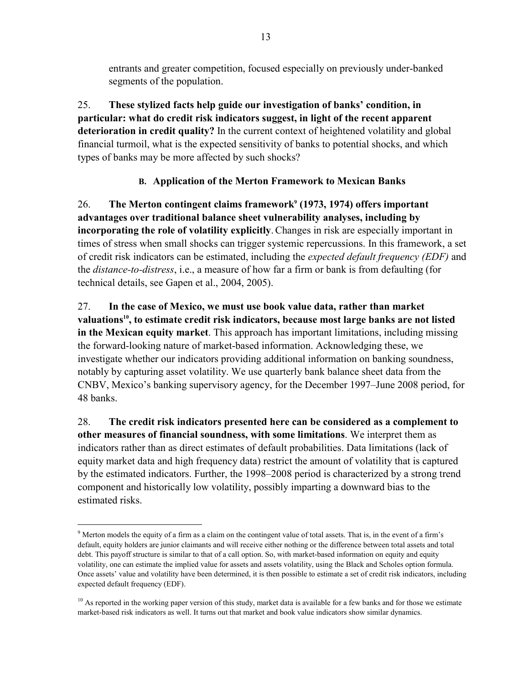entrants and greater competition, focused especially on previously under-banked segments of the population.

25. **These stylized facts help guide our investigation of banks' condition, in particular: what do credit risk indicators suggest, in light of the recent apparent deterioration in credit quality?** In the current context of heightened volatility and global financial turmoil, what is the expected sensitivity of banks to potential shocks, and which types of banks may be more affected by such shocks?

# **B. Application of the Merton Framework to Mexican Banks**

26. The Merton contingent claims framework<sup>9</sup> (1973, 1974) offers important **advantages over traditional balance sheet vulnerability analyses, including by incorporating the role of volatility explicitly**.Changes in risk are especially important in times of stress when small shocks can trigger systemic repercussions. In this framework, a set of credit risk indicators can be estimated, including the *expected default frequency (EDF)* and the *distance-to-distress*, i.e., a measure of how far a firm or bank is from defaulting (for technical details, see Gapen et al., 2004, 2005).

27. **In the case of Mexico, we must use book value data, rather than market**  valuations<sup>10</sup>, to estimate credit risk indicators, because most large banks are not listed **in the Mexican equity market**. This approach has important limitations, including missing the forward-looking nature of market-based information. Acknowledging these, we investigate whether our indicators providing additional information on banking soundness, notably by capturing asset volatility. We use quarterly bank balance sheet data from the CNBV, Mexico's banking supervisory agency, for the December 1997–June 2008 period, for 48 banks.

28. **The credit risk indicators presented here can be considered as a complement to other measures of financial soundness, with some limitations**. We interpret them as indicators rather than as direct estimates of default probabilities. Data limitations (lack of equity market data and high frequency data) restrict the amount of volatility that is captured by the estimated indicators. Further, the 1998–2008 period is characterized by a strong trend component and historically low volatility, possibly imparting a downward bias to the estimated risks.

 $9$  Merton models the equity of a firm as a claim on the contingent value of total assets. That is, in the event of a firm's default, equity holders are junior claimants and will receive either nothing or the difference between total assets and total debt. This payoff structure is similar to that of a call option. So, with market-based information on equity and equity volatility, one can estimate the implied value for assets and assets volatility, using the Black and Scholes option formula. Once assets' value and volatility have been determined, it is then possible to estimate a set of credit risk indicators, including expected default frequency (EDF).

 $10$  As reported in the working paper version of this study, market data is available for a few banks and for those we estimate market-based risk indicators as well. It turns out that market and book value indicators show similar dynamics.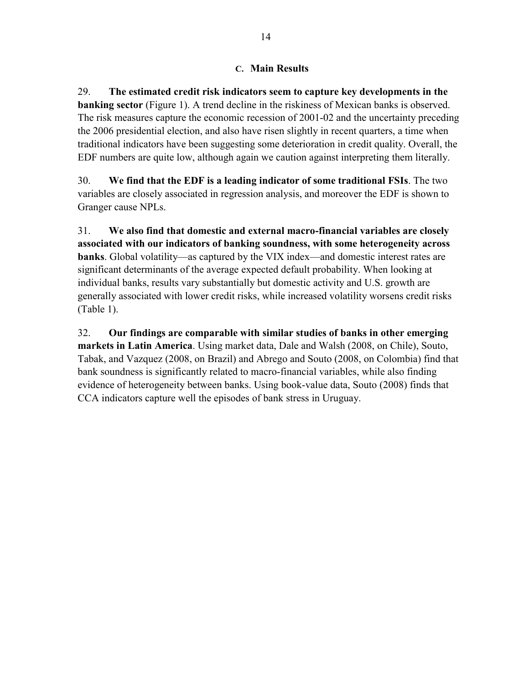#### **C. Main Results**

29. **The estimated credit risk indicators seem to capture key developments in the banking sector** (Figure 1). A trend decline in the riskiness of Mexican banks is observed. The risk measures capture the economic recession of 2001-02 and the uncertainty preceding the 2006 presidential election, and also have risen slightly in recent quarters, a time when traditional indicators have been suggesting some deterioration in credit quality. Overall, the EDF numbers are quite low, although again we caution against interpreting them literally.

30. **We find that the EDF is a leading indicator of some traditional FSIs**. The two variables are closely associated in regression analysis, and moreover the EDF is shown to Granger cause NPLs.

31. **We also find that domestic and external macro-financial variables are closely associated with our indicators of banking soundness, with some heterogeneity across banks**. Global volatility—as captured by the VIX index—and domestic interest rates are significant determinants of the average expected default probability. When looking at individual banks, results vary substantially but domestic activity and U.S. growth are generally associated with lower credit risks, while increased volatility worsens credit risks (Table 1).

32. **Our findings are comparable with similar studies of banks in other emerging markets in Latin America**. Using market data, Dale and Walsh (2008, on Chile), Souto, Tabak, and Vazquez (2008, on Brazil) and Abrego and Souto (2008, on Colombia) find that bank soundness is significantly related to macro-financial variables, while also finding evidence of heterogeneity between banks. Using book-value data, Souto (2008) finds that CCA indicators capture well the episodes of bank stress in Uruguay.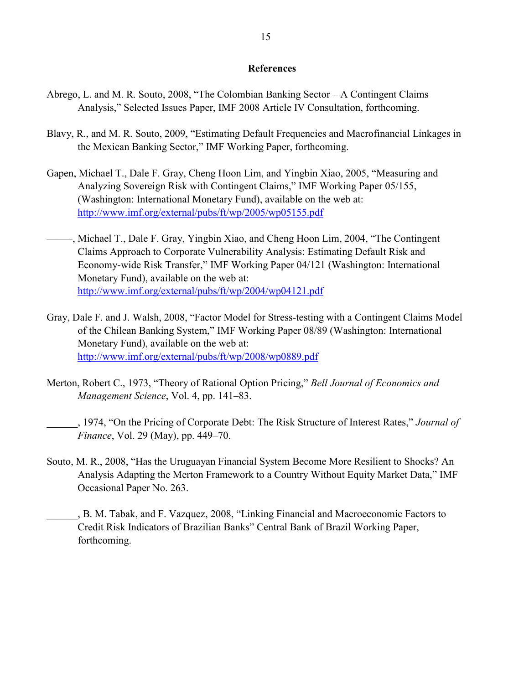#### **References**

- Abrego, L. and M. R. Souto, 2008, "The Colombian Banking Sector A Contingent Claims Analysis," Selected Issues Paper, IMF 2008 Article IV Consultation, forthcoming.
- Blavy, R., and M. R. Souto, 2009, "Estimating Default Frequencies and Macrofinancial Linkages in the Mexican Banking Sector," IMF Working Paper, forthcoming.
- Gapen, Michael T., Dale F. Gray, Cheng Hoon Lim, and Yingbin Xiao, 2005, "Measuring and Analyzing Sovereign Risk with Contingent Claims," IMF Working Paper 05/155, (Washington: International Monetary Fund), available on the web at: http://www.imf.org/external/pubs/ft/wp/2005/wp05155.pdf
- –––––, Michael T., Dale F. Gray, Yingbin Xiao, and Cheng Hoon Lim, 2004, "The Contingent Claims Approach to Corporate Vulnerability Analysis: Estimating Default Risk and Economy-wide Risk Transfer," IMF Working Paper 04/121 (Washington: International Monetary Fund), available on the web at: http://www.imf.org/external/pubs/ft/wp/2004/wp04121.pdf
- Gray, Dale F. and J. Walsh, 2008, "Factor Model for Stress-testing with a Contingent Claims Model of the Chilean Banking System," IMF Working Paper 08/89 (Washington: International Monetary Fund), available on the web at: http://www.imf.org/external/pubs/ft/wp/2008/wp0889.pdf
- Merton, Robert C., 1973, "Theory of Rational Option Pricing," *Bell Journal of Economics and Management Science*, Vol. 4, pp. 141–83.
- \_\_\_\_\_\_, 1974, "On the Pricing of Corporate Debt: The Risk Structure of Interest Rates," *Journal of Finance*, Vol. 29 (May), pp. 449–70.
- Souto, M. R., 2008, "Has the Uruguayan Financial System Become More Resilient to Shocks? An Analysis Adapting the Merton Framework to a Country Without Equity Market Data," IMF Occasional Paper No. 263.
- \_\_\_\_\_\_, B. M. Tabak, and F. Vazquez, 2008, "Linking Financial and Macroeconomic Factors to Credit Risk Indicators of Brazilian Banks" Central Bank of Brazil Working Paper, forthcoming.